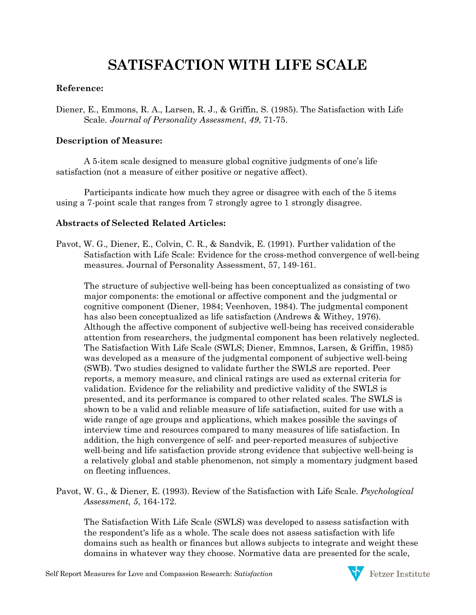# **SATISFACTION WITH LIFE SCALE**

## **Reference:**

Diener, E., Emmons, R. A., Larsen, R. J., & Griffin, S. (1985). The Satisfaction with Life Scale. *Journal of Personality Assessment*, *49*, 71-75.

### **Description of Measure:**

A 5-item scale designed to measure global cognitive judgments of one's life satisfaction (not a measure of either positive or negative affect).

Participants indicate how much they agree or disagree with each of the 5 items using a 7-point scale that ranges from 7 strongly agree to 1 strongly disagree.

## **Abstracts of Selected Related Articles:**

Pavot, W. G., Diener, E., Colvin, C. R., & Sandvik, E. (1991). Further validation of the Satisfaction with Life Scale: Evidence for the cross-method convergence of well-being measures. Journal of Personality Assessment, 57, 149-161.

The structure of subjective well-being has been conceptualized as consisting of two major components: the emotional or affective component and the judgmental or cognitive component (Diener, 1984; Veenhoven, 1984). The judgmental component has also been conceptualized as life satisfaction (Andrews & Withey, 1976). Although the affective component of subjective well-being has received considerable attention from researchers, the judgmental component has been relatively neglected. The Satisfaction With Life Scale (SWLS; Diener, Emmnos, Larsen, & Griffin, 1985) was developed as a measure of the judgmental component of subjective well-being (SWB). Two studies designed to validate further the SWLS are reported. Peer reports, a memory measure, and clinical ratings are used as external criteria for validation. Evidence for the reliability and predictive validity of the SWLS is presented, and its performance is compared to other related scales. The SWLS is shown to be a valid and reliable measure of life satisfaction, suited for use with a wide range of age groups and applications, which makes possible the savings of interview time and resources compared to many measures of life satisfaction. In addition, the high convergence of self- and peer-reported measures of subjective well-being and life satisfaction provide strong evidence that subjective well-being is a relatively global and stable phenomenon, not simply a momentary judgment based on fleeting influences.

Pavot, W. G., & Diener, E. (1993). Review of the Satisfaction with Life Scale. *Psychological Assessment, 5*, 164-172.

The Satisfaction With Life Scale (SWLS) was developed to assess satisfaction with the respondent's life as a whole. The scale does not assess satisfaction with life domains such as health or finances but allows subjects to integrate and weight these domains in whatever way they choose. Normative data are presented for the scale,

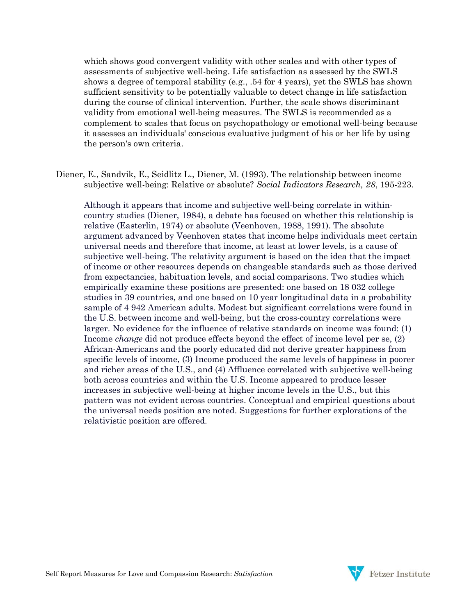which shows good convergent validity with other scales and with other types of assessments of subjective well-being. Life satisfaction as assessed by the SWLS shows a degree of temporal stability (e.g., .54 for 4 years), yet the SWLS has shown sufficient sensitivity to be potentially valuable to detect change in life satisfaction during the course of clinical intervention. Further, the scale shows discriminant validity from emotional well-being measures. The SWLS is recommended as a complement to scales that focus on psychopathology or emotional well-being because it assesses an individuals' conscious evaluative judgment of his or her life by using the person's own criteria.

Diener, E., Sandvik, E., Seidlitz L., Diener, M. (1993). The relationship between income subjective well-being: Relative or absolute? *Social Indicators Research, 28*, 195-223.

Although it appears that income and subjective well-being correlate in withincountry studies (Diener, 1984), a debate has focused on whether this relationship is relative (Easterlin, 1974) or absolute (Veenhoven, 1988, 1991). The absolute argument advanced by Veenhoven states that income helps individuals meet certain universal needs and therefore that income, at least at lower levels, is a cause of subjective well-being. The relativity argument is based on the idea that the impact of income or other resources depends on changeable standards such as those derived from expectancies, habituation levels, and social comparisons. Two studies which empirically examine these positions are presented: one based on 18 032 college studies in 39 countries, and one based on 10 year longitudinal data in a probability sample of 4 942 American adults. Modest but significant correlations were found in the U.S. between income and well-being, but the cross-country correlations were larger. No evidence for the influence of relative standards on income was found: (1) Income *change* did not produce effects beyond the effect of income level per se, (2) African-Americans and the poorly educated did not derive greater happiness from specific levels of income, (3) Income produced the same levels of happiness in poorer and richer areas of the U.S., and (4) Affluence correlated with subjective well-being both across countries and within the U.S. Income appeared to produce lesser increases in subjective well-being at higher income levels in the U.S., but this pattern was not evident across countries. Conceptual and empirical questions about the universal needs position are noted. Suggestions for further explorations of the relativistic position are offered.